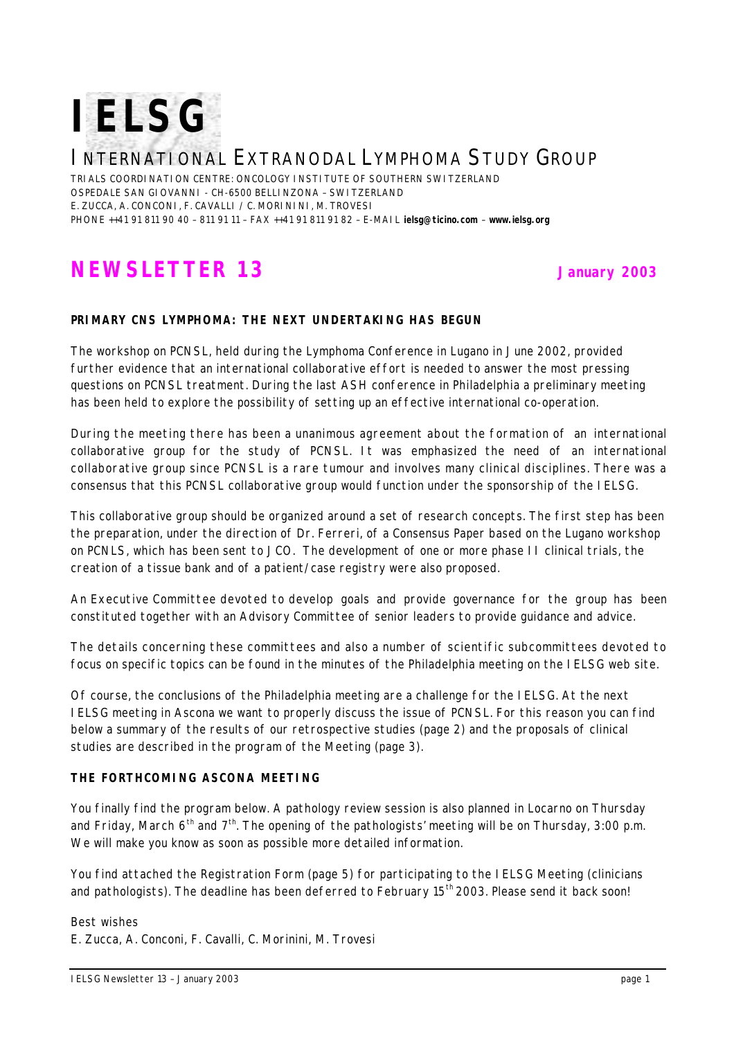

# INTERNATIONAL EXTRANODAL LYMPHOMA STUDY GROUP

TRIALS COORDINATION CENTRE: ONCOLOGY INSTITUTE OF SOUTHERN SWITZERLAND OSPEDALE SAN GIOVANNI - CH-6500 BELLINZONA – SWITZERLAND E. ZUCCA, A. CONCONI, F. CAVALLI / C. MORININI, M. TROVESI PHONE ++41 91 811 90 40 – 811 91 11 – FAX ++41 91 811 91 82 – E-MAIL **ielsg@ticino.com** – **www.ielsg.org**

# **NEWSLETTER 13 January 2003**

### **PRIMARY CNS LYMPHOMA: THE NEXT UNDERTAKING HAS BEGUN**

The workshop on PCNSL, held during the Lymphoma Conference in Lugano in June 2002, provided further evidence that an international collaborative effort is needed to answer the most pressing questions on PCNSL treatment. During the last ASH conference in Philadelphia a preliminary meeting has been held to explore the possibility of setting up an effective international co-operation.

During the meeting there has been a unanimous agreement about the formation of an international collaborative group for the study of PCNSL. It was emphasized the need of an international collaborative group since PCNSL is a rare tumour and involves many clinical disciplines. There was a consensus that this PCNSL collaborative group would function under the sponsorship of the IELSG.

This collaborative group should be organized around a set of research concepts. The first step has been the preparation, under the direction of Dr. Ferreri, of a Consensus Paper based on the Lugano workshop on PCNLS, which has been sent to JCO. The development of one or more phase II clinical trials, the creation of a tissue bank and of a patient/case registry were also proposed.

An Executive Committee devoted to develop goals and provide governance for the group has been constituted together with an Advisory Committee of senior leaders to provide guidance and advice.

The details concerning these committees and also a number of scientific subcommittees devoted to focus on specific topics can be found in the minutes of the Philadelphia meeting on the IELSG web site.

Of course, the conclusions of the Philadelphia meeting are a challenge for the IELSG. At the next IELSG meeting in Ascona we want to properly discuss the issue of PCNSL. For this reason you can find below a summary of the results of our retrospective studies (page 2) and the proposals of clinical studies are described in the program of the Meeting (page 3).

## **THE FORTHCOMING ASCONA MEETING**

You finally find the program below. A pathology review session is also planned in Locarno on Thursday and Friday, March  $6^{th}$  and  $7^{th}$ . The opening of the pathologists' meeting will be on Thursday, 3:00 p.m. We will make you know as soon as possible more detailed information.

You find attached the Registration Form (page 5) for participating to the IELSG Meeting (clinicians and pathologists). The deadline has been deferred to February  $15<sup>th</sup>$  2003. Please send it back soon!

*Best wishes E. Zucca, A. Conconi, F. Cavalli, C. Morinini, M. Trovesi*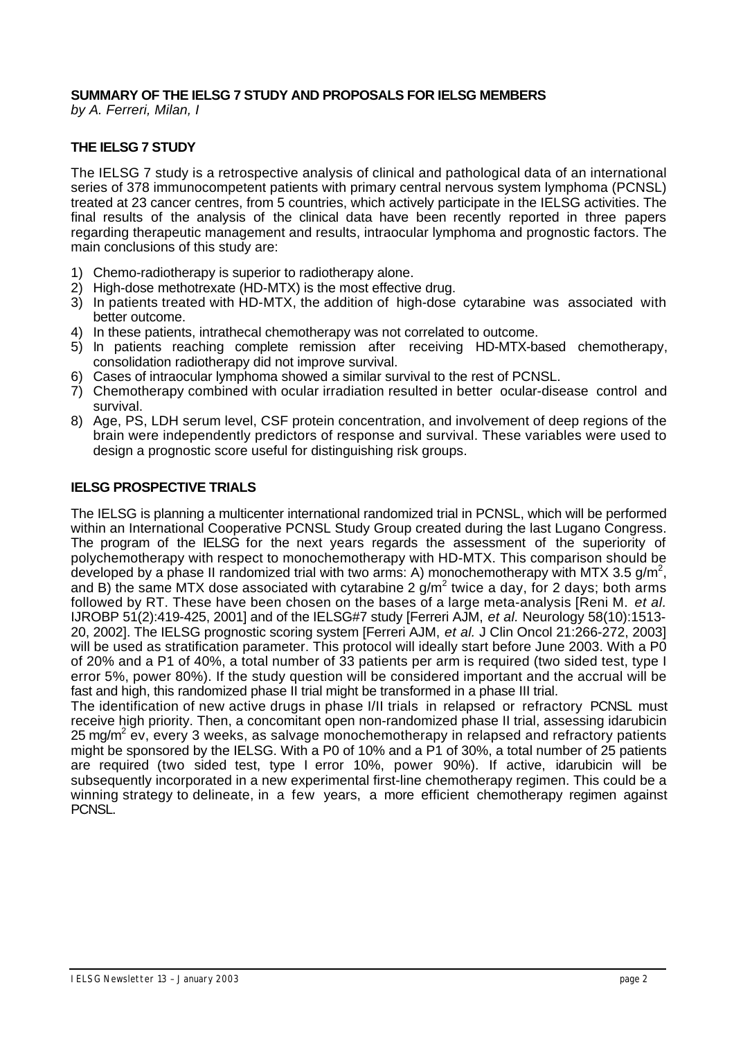# **SUMMARY OF THE IELSG 7 STUDY AND PROPOSALS FOR IELSG MEMBERS**

*by A. Ferreri, Milan, I*

# **THE IELSG 7 STUDY**

The IELSG 7 study is a retrospective analysis of clinical and pathological data of an international series of 378 immunocompetent patients with primary central nervous system lymphoma (PCNSL) treated at 23 cancer centres, from 5 countries, which actively participate in the IELSG activities. The final results of the analysis of the clinical data have been recently reported in three papers regarding therapeutic management and results, intraocular lymphoma and prognostic factors. The main conclusions of this study are:

- 1) Chemo-radiotherapy is superior to radiotherapy alone.
- 2) High-dose methotrexate (HD-MTX) is the most effective drug.
- 3) In patients treated with HD-MTX, the addition of high-dose cytarabine was associated with better outcome.
- 4) In these patients, intrathecal chemotherapy was not correlated to outcome.
- 5) In patients reaching complete remission after receiving HD-MTX-based chemotherapy, consolidation radiotherapy did not improve survival.
- 6) Cases of intraocular lymphoma showed a similar survival to the rest of PCNSL.
- 7) Chemotherapy combined with ocular irradiation resulted in better ocular-disease control and survival.
- 8) Age, PS, LDH serum level, CSF protein concentration, and involvement of deep regions of the brain were independently predictors of response and survival. These variables were used to design a prognostic score useful for distinguishing risk groups.

## **IELSG PROSPECTIVE TRIALS**

The IELSG is planning a multicenter international randomized trial in PCNSL, which will be performed within an International Cooperative PCNSL Study Group created during the last Lugano Congress. The program of the IELSG for the next years regards the assessment of the superiority of polychemotherapy with respect to monochemotherapy with HD-MTX. This comparison should be developed by a phase II randomized trial with two arms: A) monochemotherapy with MTX 3.5 g/m<sup>2</sup>, and B) the same MTX dose associated with cytarabine 2  $g/m^2$  twice a day, for 2 days; both arms followed by RT. These have been chosen on the bases of a large meta-analysis [Reni M. *et al.* IJROBP 51(2):419-425, 2001] and of the IELSG#7 study [Ferreri AJM, *et al.* Neurology 58(10):1513- 20, 2002]. The IELSG prognostic scoring system [Ferreri AJM, *et al.* J Clin Oncol 21:266-272, 2003] will be used as stratification parameter. This protocol will ideally start before June 2003. With a P0 of 20% and a P1 of 40%, a total number of 33 patients per arm is required (two sided test, type I error 5%, power 80%). If the study question will be considered important and the accrual will be fast and high, this randomized phase II trial might be transformed in a phase III trial.

The identification of new active drugs in phase I/II trials in relapsed or refractory PCNSL must receive high priority. Then, a concomitant open non-randomized phase II trial, assessing idarubicin 25 mg/m<sup>2</sup> ev, every 3 weeks, as salvage monochemotherapy in relapsed and refractory patients might be sponsored by the IELSG. With a P0 of 10% and a P1 of 30%, a total number of 25 patients are required (two sided test, type I error 10%, power 90%). If active, idarubicin will be subsequently incorporated in a new experimental first-line chemotherapy regimen. This could be a winning strategy to delineate, in a few years, a more efficient chemotherapy regimen against PCNSL.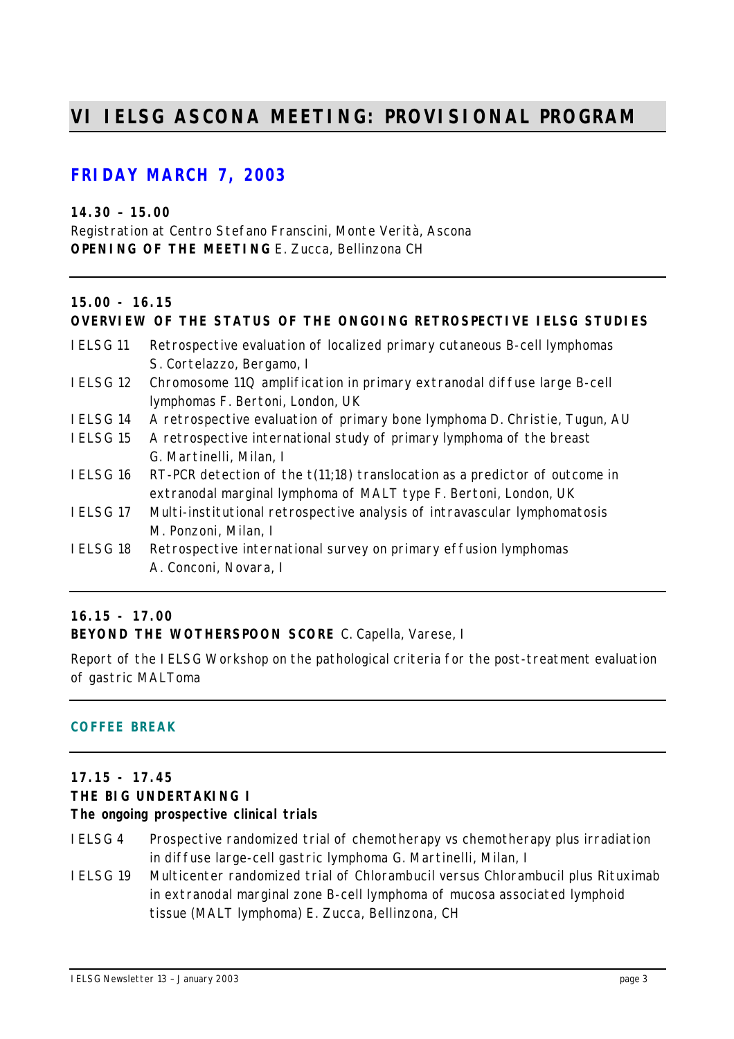# **VI IELSG ASCONA MEETING: PROVISIONAL PROGRAM**

# **FRIDAY MARCH 7, 2003**

**14.30 – 15.00** Registration at Centro Stefano Franscini, Monte Verità, Ascona **OPENING OF THE MEETING** *E. Zucca, Bellinzona CH*

# **15.00 - 16.15**

# **OVERVIEW OF THE STATUS OF THE ONGOING RETROSPECTIVE IELSG STUDIES**

- IELSG 11 Retrospective evaluation of localized primary cutaneous B-cell lymphomas *S. Cortelazzo, Bergamo, I*
- IELSG 12 Chromosome 11Q amplification in primary extranodal diffuse large B-cell lymphomas *F. Bertoni, London, UK*
- IELSG 14 A retrospective evaluation of primary bone lymphoma *D. Christie, Tugun, AU*
- IELSG 15 A retrospective international study of primary lymphoma of the breast *G. Martinelli, Milan, I*
- IELSG 16 RT-PCR detection of the t(11;18) translocation as a predictor of outcome in extranodal marginal lymphoma of MALT type *F. Bertoni, London, UK*
- IELSG 17 Multi-institutional retrospective analysis of intravascular lymphomatosis *M. Ponzoni, Milan, I*
- IELSG 18 Retrospective international survey on primary effusion lymphomas *A. Conconi, Novara, I*

### **16.15 - 17.00**

**BEYOND THE WOTHERSPOON SCORE** *C. Capella, Varese, I*

Report of the IELSG Workshop on the pathological criteria for the post-treatment evaluation of gastric MALToma

### **COFFEE BREAK**

# **17.15 - 17.45**

# **THE BIG UNDERTAKING I**

### **The ongoing prospective clinical trials**

- IELSG 4 Prospective randomized trial of chemotherapy vs chemotherapy plus irradiation in diffuse large-cell gastric lymphoma *G. Martinelli, Milan, I*
- IELSG 19 Multicenter randomized trial of Chlorambucil versus Chlorambucil plus Rituximab in extranodal marginal zone B-cell lymphoma of mucosa associated lymphoid tissue (MALT lymphoma) *E. Zucca, Bellinzona, CH*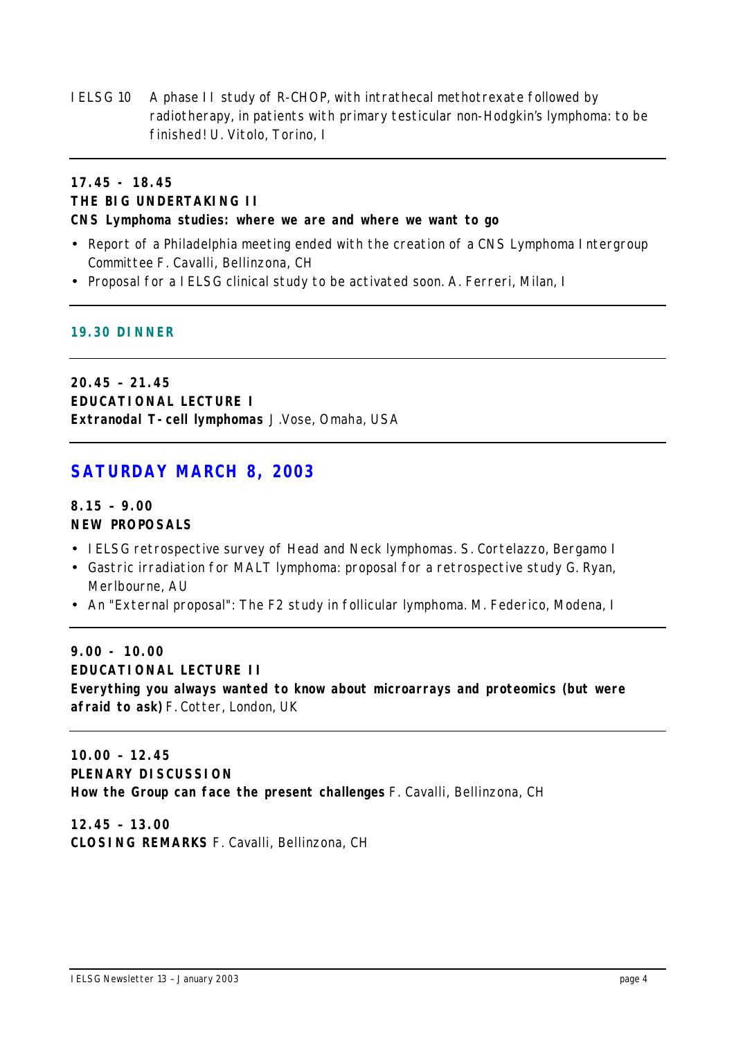IELSG 10 A phase II study of R-CHOP, with intrathecal methotrexate followed by radiotherapy, in patients with primary testicular non-Hodgkin's lymphoma: to be finished! *U. Vitolo, Torino, I*

# **17.45 - 18.45 THE BIG UNDERTAKING II CNS Lymphoma studies: where we are and where we want to go**

- Report of a Philadelphia meeting ended with the creation of a CNS Lymphoma Intergroup Committee *F. Cavalli, Bellinzona, CH*
- Proposal for a IELSG clinical study to be activated soon. *A. Ferreri, Milan, I*

#### **19.30 DINNER**

**20.45 – 21.45 EDUCATIONAL LECTURE I Extranodal T-cell lymphomas** *J.Vose, Omaha, USA*

# **SATURDAY MARCH 8, 2003**

## **8.15 – 9.00 NEW PROPOSALS**

- IELSG retrospective survey of Head and Neck lymphomas. S. Cortelazzo, Bergamo I
- Gastric irradiation for MALT lymphoma: proposal for a retrospective study G. Ryan, Merlbourne, AU
- An "External proposal": The F2 study in follicular lymphoma. M. Federico, Modena, I

# **9.00 - 10.00 EDUCATIONAL LECTURE II Everything you always wanted to know about microarrays and proteomics (but were afraid to ask)** *F. Cotter, London, UK*

**10.00 – 12.45 PLENARY DISCUSSION How the Group can face the present challenges** *F. Cavalli, Bellinzona, CH*

**12.45 – 13.00 CLOSING REMARKS** *F. Cavalli, Bellinzona, CH*